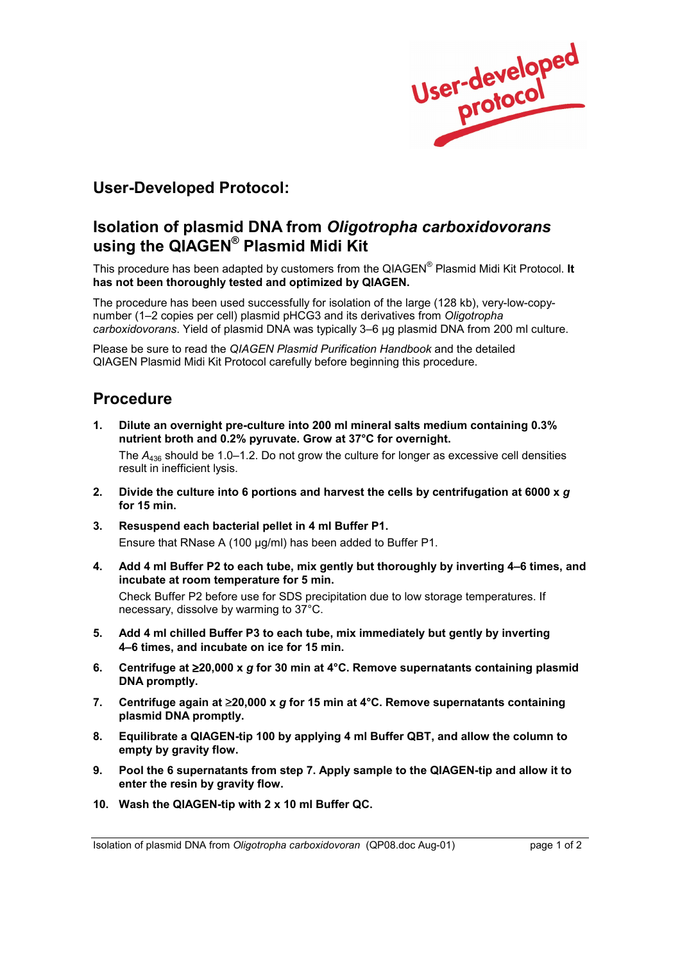

## **User-Developed Protocol:**

## **Isolation of plasmid DNA from** *Oligotropha carboxidovorans*  using the QIAGEN<sup>®</sup> Plasmid Midi Kit

This procedure has been adapted by customers from the QIAGEN<sup>®</sup> Plasmid Midi Kit Protocol. It **has not been thoroughly tested and optimized by QIAGEN.**

The procedure has been used successfully for isolation of the large (128 kb), very-low-copynumber (1-2 copies per cell) plasmid pHCG3 and its derivatives from *Oligotropha carboxidovorans*. Yield of plasmid DNA was typically 3-6 µg plasmid DNA from 200 ml culture.

Please be sure to read the *QIAGEN Plasmid Purification Handbook* and the detailed QIAGEN Plasmid Midi Kit Protocol carefully before beginning this procedure.

## **Procedure**

**1. Dilute an overnight pre-culture into 200 ml mineral salts medium containing 0.3% nutrient broth and 0.2% pyruvate. Grow at 37°C for overnight.** 

The  $A_{436}$  should be 1.0–1.2. Do not grow the culture for longer as excessive cell densities result in inefficient lysis.

- **2. Divide the culture into 6 portions and harvest the cells by centrifugation at 6000 x** *g* **for 15 min.**
- **3. Resuspend each bacterial pellet in 4 ml Buffer P1.**  Ensure that RNase A (100 µg/ml) has been added to Buffer P1.
- 4. Add 4 ml Buffer P2 to each tube, mix gently but thoroughly by inverting 4-6 times, and **incubate at room temperature for 5 min.**

 Check Buffer P2 before use for SDS precipitation due to low storage temperatures. If necessary, dissolve by warming to 37°C.

- **5. Add 4 ml chilled Buffer P3 to each tube, mix immediately but gently by inverting 4–6 times, and incubate on ice for 15 min.**
- **6. Centrifuge at** ≥**20,000 x** *g* **for 30 min at 4°C. Remove supernatants containing plasmid DNA promptly.**
- **7. Centrifuge again at** ≥**20,000 x** *g* **for 15 min at 4°C. Remove supernatants containing plasmid DNA promptly.**
- **8. Equilibrate a QIAGEN-tip 100 by applying 4 ml Buffer QBT, and allow the column to empty by gravity flow.**
- **9. Pool the 6 supernatants from step 7. Apply sample to the QIAGEN-tip and allow it to enter the resin by gravity flow.**
- **10. Wash the QIAGEN-tip with 2 x 10 ml Buffer QC.**